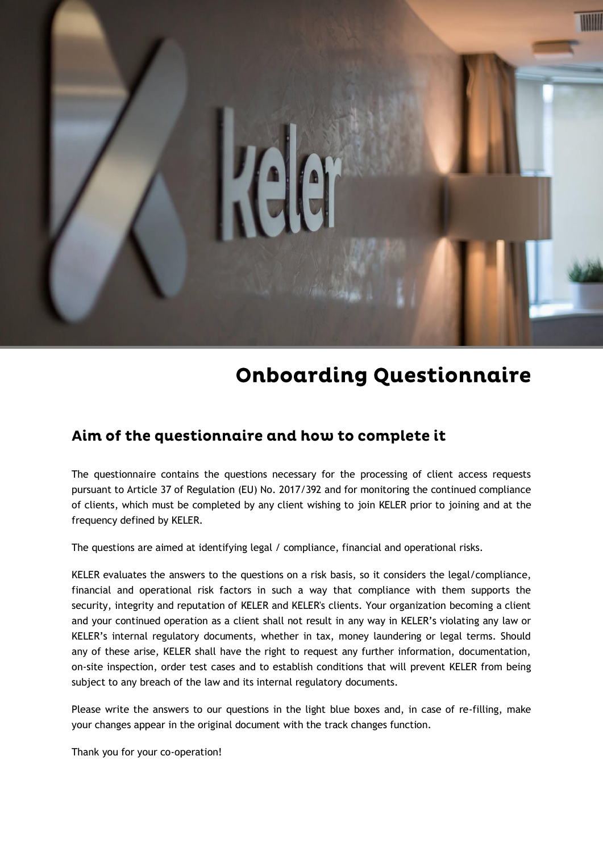

# **Onboarding Questionnaire**

# Aim of the questionnaire and how to complete it

The questionnaire contains the questions necessary for the processing of client access requests pursuant to Article 37 of Regulation (EU) No. 2017/392 and for monitoring the continued compliance of clients, which must be completed by any client wishing to join KELER prior to joining and at the frequency defined by KELER.

The questions are aimed at identifying legal / compliance, financial and operational risks.

KELER evaluates the answers to the questions on a risk basis, so it considers the legal/compliance, financial and operational risk factors in such a way that compliance with them supports the security, integrity and reputation of KELER and KELER's clients. Your organization becoming a client and your continued operation as a client shall not result in any way in KELER's violating any law or KELER's internal regulatory documents, whether in tax, money laundering or legal terms. Should any of these arise, KELER shall have the right to request any further information, documentation, on-site inspection, order test cases and to establish conditions that will prevent KELER from being subject to any breach of the law and its internal regulatory documents.

Please write the answers to our questions in the light blue boxes and, in case of re-filling, make your changes appear in the original document with the track changes function.

Thank you for your co-operation!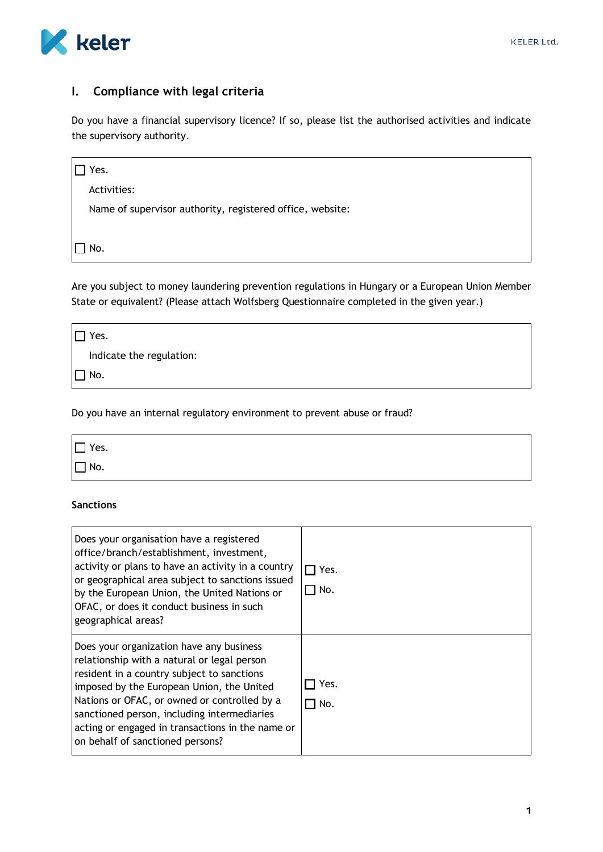

# **I. Compliance with legal criteria**

Do you have a financial supervisory licence? If so, please list the authorised activities and indicate the supervisory authority.

| Yes.                                                      |  |
|-----------------------------------------------------------|--|
| Activities:                                               |  |
| Name of supervisor authority, registered office, website: |  |
|                                                           |  |
| No.                                                       |  |

Are you subject to money laundering prevention regulations in Hungary or a European Union Member State or equivalent? (Please attach Wolfsberg Questionnaire completed in the given year.)

| Yes.                     |  |
|--------------------------|--|
| Indicate the regulation: |  |
| $\Box$ No.               |  |

Do you have an internal regulatory environment to prevent abuse or fraud?

| $\square$ Yes. |  |  |  |
|----------------|--|--|--|
| $\square$ No.  |  |  |  |

## **Sanctions**

| Does your organisation have a registered<br>office/branch/establishment, investment,<br>activity or plans to have an activity in a country<br>or geographical area subject to sanctions issued<br>by the European Union, the United Nations or<br>OFAC, or does it conduct business in such<br>geographical areas?                                                        | □ Yes.<br>$\sqcap$ No. |
|---------------------------------------------------------------------------------------------------------------------------------------------------------------------------------------------------------------------------------------------------------------------------------------------------------------------------------------------------------------------------|------------------------|
| Does your organization have any business<br>relationship with a natural or legal person<br>resident in a country subject to sanctions<br>imposed by the European Union, the United<br>Nations or OFAC, or owned or controlled by a<br>sanctioned person, including intermediaries<br>acting or engaged in transactions in the name or<br>on behalf of sanctioned persons? | Yes.<br>No. T          |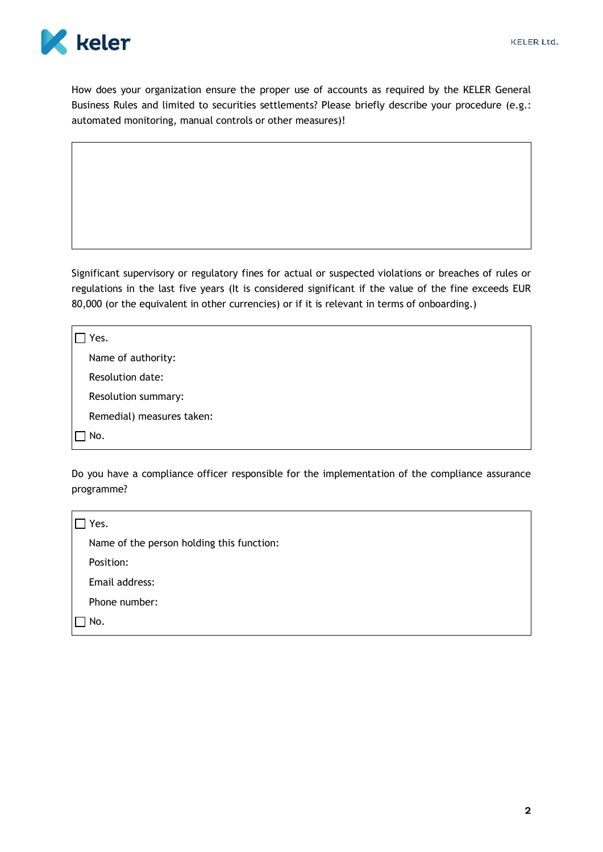

How does your organization ensure the proper use of accounts as required by the KELER General Business Rules and limited to securities settlements? Please briefly describe your procedure (e.g.: automated monitoring, manual controls or other measures)!

Significant supervisory or regulatory fines for actual or suspected violations or breaches of rules or regulations in the last five years (It is considered significant if the value of the fine exceeds EUR 80,000 (or the equivalent in other currencies) or if it is relevant in terms of onboarding.)

| Yes.                      |
|---------------------------|
| Name of authority:        |
| Resolution date:          |
| Resolution summary:       |
| Remedial) measures taken: |
| No.                       |

Do you have a compliance officer responsible for the implementation of the compliance assurance programme?

| Yes.                                      |  |
|-------------------------------------------|--|
| Name of the person holding this function: |  |
| Position:                                 |  |
| Email address:                            |  |
| Phone number:                             |  |
| No.                                       |  |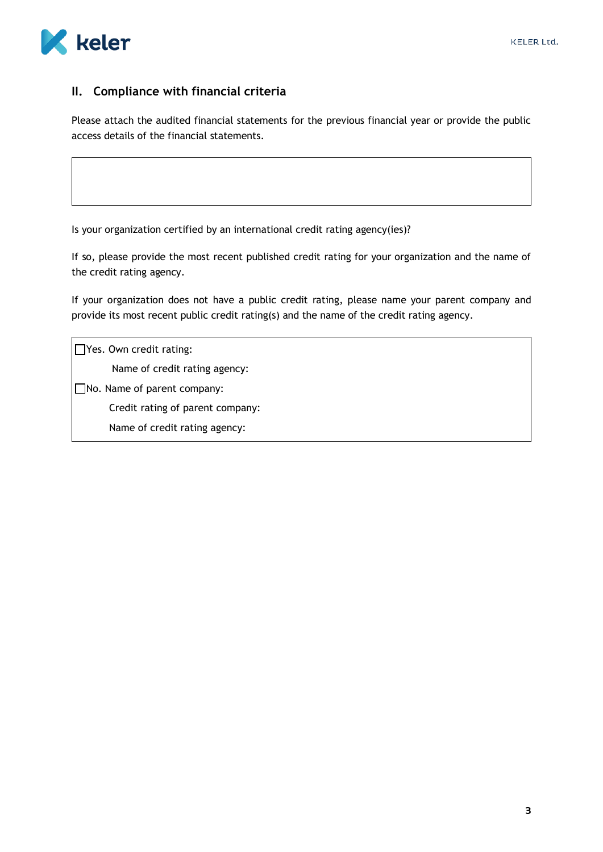

# **II. Compliance with financial criteria**

Please attach the audited financial statements for the previous financial year or provide the public access details of the financial statements.

Is your organization certified by an international credit rating agency(ies)?

If so, please provide the most recent published credit rating for your organization and the name of the credit rating agency.

If your organization does not have a public credit rating, please name your parent company and provide its most recent public credit rating(s) and the name of the credit rating agency.

 $\Box$  Yes. Own credit rating: Name of credit rating agency: No. Name of parent company: Credit rating of parent company: Name of credit rating agency: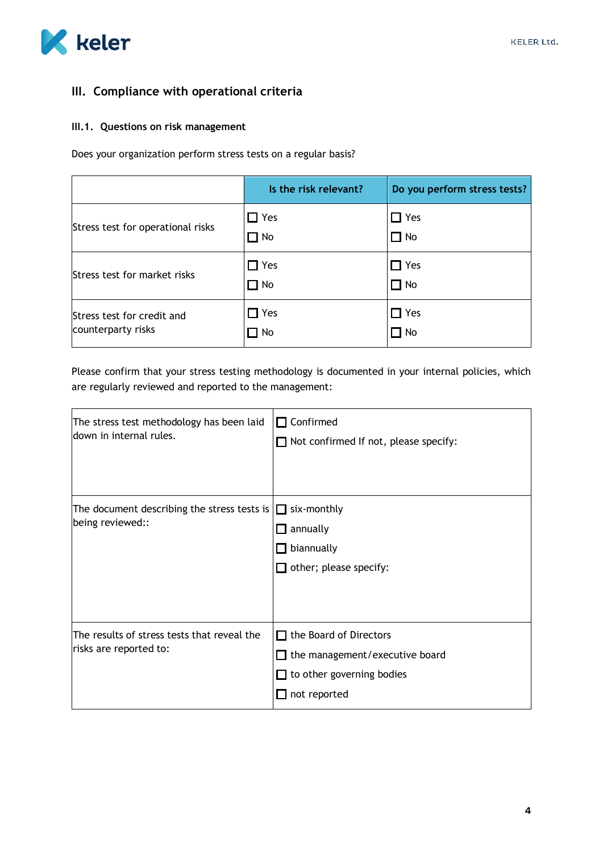

# **III. Compliance with operational criteria**

#### **III.1. Questions on risk management**

Does your organization perform stress tests on a regular basis?

|                                                  | Is the risk relevant?   | Do you perform stress tests? |
|--------------------------------------------------|-------------------------|------------------------------|
| Stress test for operational risks                | $\Box$ Yes<br>$\Box$ No | $\Box$ Yes<br>$\Box$ No      |
| Stress test for market risks                     | $\Box$ Yes<br>$\Box$ No | $\Box$ Yes<br>$\Box$ No      |
| Stress test for credit and<br>counterparty risks | $\Box$ Yes<br>$\Box$ No | $\Box$ Yes<br>$\Box$ No      |

Please confirm that your stress testing methodology is documented in your internal policies, which are regularly reviewed and reported to the management:

| The stress test methodology has been laid<br>down in internal rules.  | $\Box$ Confirmed<br>$\Box$ Not confirmed If not, please specify:                                                           |
|-----------------------------------------------------------------------|----------------------------------------------------------------------------------------------------------------------------|
| The document describing the stress tests is<br>being reviewed::       | $\Box$ six-monthly<br>annually<br>$\mathbf{L}$<br>biannually<br>$\mathbf{L}$<br>$\Box$ other; please specify:              |
| The results of stress tests that reveal the<br>risks are reported to: | $\Box$ the Board of Directors<br>$\Box$ the management/executive board<br>$\Box$ to other governing bodies<br>not reported |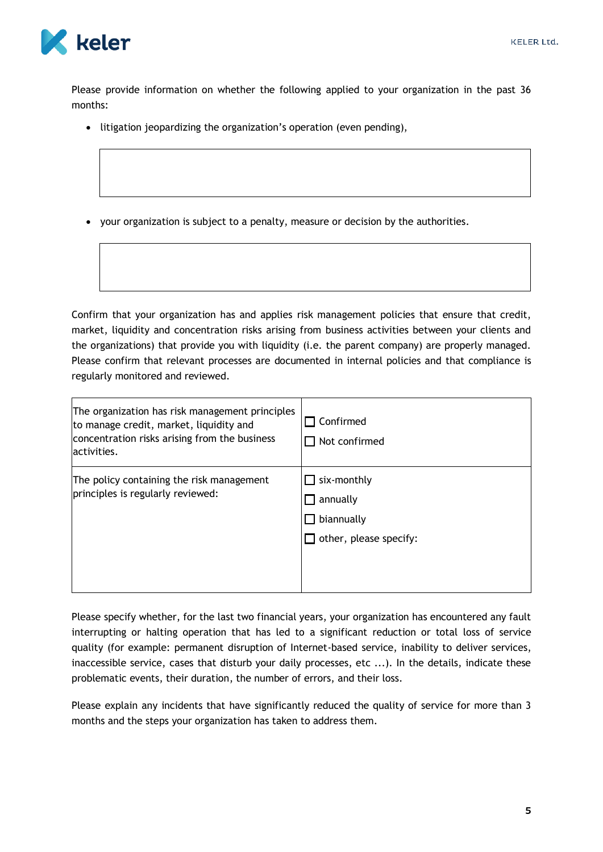

Please provide information on whether the following applied to your organization in the past 36 months:

- litigation jeopardizing the organization's operation (even pending),
- your organization is subject to a penalty, measure or decision by the authorities.

Confirm that your organization has and applies risk management policies that ensure that credit, market, liquidity and concentration risks arising from business activities between your clients and the organizations) that provide you with liquidity (i.e. the parent company) are properly managed. Please confirm that relevant processes are documented in internal policies and that compliance is regularly monitored and reviewed.

| The organization has risk management principles<br>to manage credit, market, liquidity and<br>concentration risks arising from the business<br>lactivities. | Confirmed<br>Not confirmed                                      |
|-------------------------------------------------------------------------------------------------------------------------------------------------------------|-----------------------------------------------------------------|
| The policy containing the risk management<br>principles is regularly reviewed:                                                                              | six-monthly<br>annually<br>biannually<br>other, please specify: |

Please specify whether, for the last two financial years, your organization has encountered any fault interrupting or halting operation that has led to a significant reduction or total loss of service quality (for example: permanent disruption of Internet-based service, inability to deliver services, inaccessible service, cases that disturb your daily processes, etc ...). In the details, indicate these problematic events, their duration, the number of errors, and their loss.

Please explain any incidents that have significantly reduced the quality of service for more than 3 months and the steps your organization has taken to address them.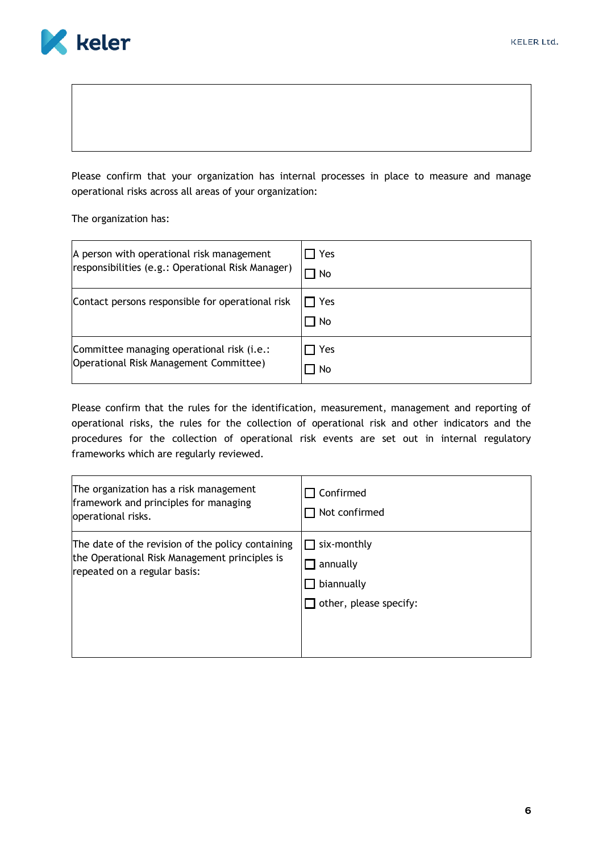

Please confirm that your organization has internal processes in place to measure and manage operational risks across all areas of your organization:

The organization has:

| A person with operational risk management         | Yes         |
|---------------------------------------------------|-------------|
| responsibilities (e.g.: Operational Risk Manager) | l No        |
| Contact persons responsible for operational risk  | Yes<br>∃ No |
| Committee managing operational risk (i.e.:        | Yes         |
| Operational Risk Management Committee)            | 1 No        |

Please confirm that the rules for the identification, measurement, management and reporting of operational risks, the rules for the collection of operational risk and other indicators and the procedures for the collection of operational risk events are set out in internal regulatory frameworks which are regularly reviewed.

| The organization has a risk management<br>framework and principles for managing<br>operational risks.                              | Confirmed<br>Not confirmed                                      |
|------------------------------------------------------------------------------------------------------------------------------------|-----------------------------------------------------------------|
| The date of the revision of the policy containing<br>the Operational Risk Management principles is<br>repeated on a regular basis: | six-monthly<br>annually<br>biannually<br>other, please specify: |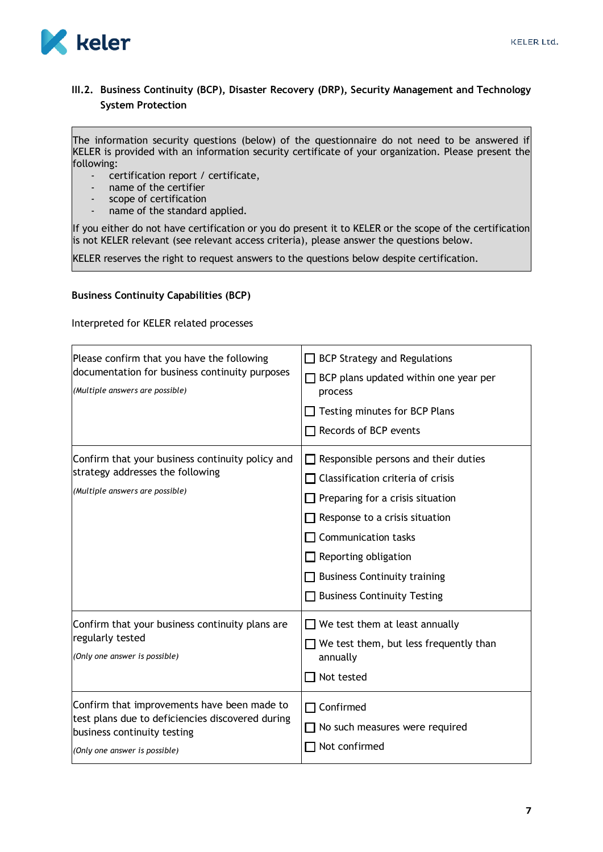

## **III.2. Business Continuity (BCP), Disaster Recovery (DRP), Security Management and Technology System Protection**

The information security questions (below) of the questionnaire do not need to be answered if KELER is provided with an information security certificate of your organization. Please present the following:

- certification report / certificate,
- name of the certifier
- scope of certification
- name of the standard applied.

If you either do not have certification or you do present it to KELER or the scope of the certification is not KELER relevant (see relevant access criteria), please answer the questions below.

KELER reserves the right to request answers to the questions below despite certification.

#### **Business Continuity Capabilities (BCP)**

Interpreted for KELER related processes

| Please confirm that you have the following<br>documentation for business continuity purposes<br>(Multiple answers are possible)                                 | <b>BCP Strategy and Regulations</b><br>$\Box$ BCP plans updated within one year per<br>process<br>Testing minutes for BCP Plans<br>Records of BCP events                                                                                                                                                       |
|-----------------------------------------------------------------------------------------------------------------------------------------------------------------|----------------------------------------------------------------------------------------------------------------------------------------------------------------------------------------------------------------------------------------------------------------------------------------------------------------|
| Confirm that your business continuity policy and<br>strategy addresses the following<br>(Multiple answers are possible)                                         | Responsible persons and their duties<br>$\Box$ Classification criteria of crisis<br>$\Box$ Preparing for a crisis situation<br>$\Box$ Response to a crisis situation<br>$\Box$ Communication tasks<br>$\Box$ Reporting obligation<br><b>Business Continuity training</b><br><b>Business Continuity Testing</b> |
| Confirm that your business continuity plans are<br>regularly tested<br>(Only one answer is possible)                                                            | $\Box$ We test them at least annually<br>$\Box$ We test them, but less frequently than<br>annually<br>Not tested                                                                                                                                                                                               |
| Confirm that improvements have been made to<br>test plans due to deficiencies discovered during<br>business continuity testing<br>(Only one answer is possible) | $\Box$ Confirmed<br>No such measures were required<br>Not confirmed                                                                                                                                                                                                                                            |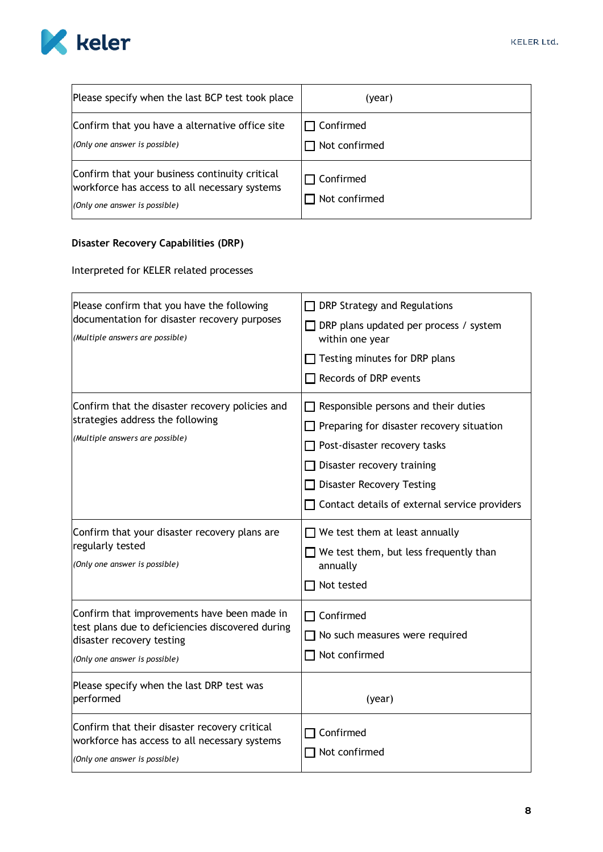

| Please specify when the last BCP test took place                                                                                 | (year)                            |
|----------------------------------------------------------------------------------------------------------------------------------|-----------------------------------|
| Confirm that you have a alternative office site<br>(Only one answer is possible)                                                 | $\Box$ Confirmed<br>Not confirmed |
| Confirm that your business continuity critical<br>workforce has access to all necessary systems<br>(Only one answer is possible) | $\Box$ Confirmed<br>Not confirmed |

# **Disaster Recovery Capabilities (DRP)**

Interpreted for KELER related processes

| Please confirm that you have the following<br>documentation for disaster recovery purposes<br>(Multiple answers are possible)                                                                              | $\Box$ DRP Strategy and Regulations<br>$\Box$ DRP plans updated per process / system<br>within one year<br>$\Box$ Testing minutes for DRP plans<br>Records of DRP events                                                                                                |
|------------------------------------------------------------------------------------------------------------------------------------------------------------------------------------------------------------|-------------------------------------------------------------------------------------------------------------------------------------------------------------------------------------------------------------------------------------------------------------------------|
| Confirm that the disaster recovery policies and<br>strategies address the following<br>(Multiple answers are possible)                                                                                     | $\Box$ Responsible persons and their duties<br>$\Box$ Preparing for disaster recovery situation<br>$\Box$ Post-disaster recovery tasks<br>$\Box$ Disaster recovery training<br>$\Box$ Disaster Recovery Testing<br>$\Box$ Contact details of external service providers |
| Confirm that your disaster recovery plans are<br>regularly tested<br>(Only one answer is possible)                                                                                                         | $\Box$ We test them at least annually<br>$\Box$ We test them, but less frequently than<br>annually<br>Not tested                                                                                                                                                        |
| Confirm that improvements have been made in<br>test plans due to deficiencies discovered during<br>disaster recovery testing<br>(Only one answer is possible)<br>Please specify when the last DRP test was | $\Box$ Confirmed<br>$\Box$ No such measures were required<br>$\Box$ Not confirmed                                                                                                                                                                                       |
| performed<br>Confirm that their disaster recovery critical<br>workforce has access to all necessary systems<br>(Only one answer is possible)                                                               | (year)<br>Confirmed<br>Not confirmed                                                                                                                                                                                                                                    |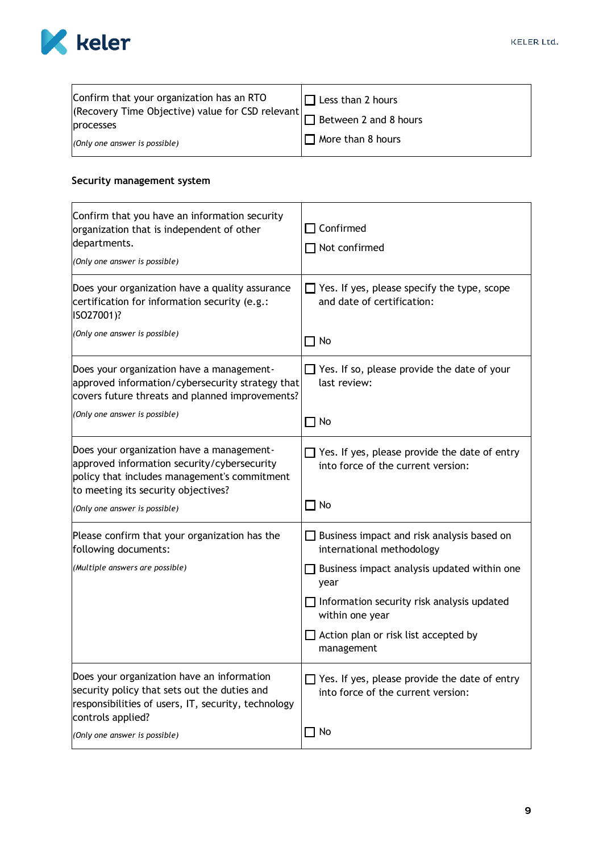

| Confirm that your organization has an RTO<br>(Recovery Time Objective) value for CSD relevant | $\Box$ Less than 2 hours |
|-----------------------------------------------------------------------------------------------|--------------------------|
| processes                                                                                     | Between 2 and 8 hours    |
| (Only one answer is possible)                                                                 | $\Box$ More than 8 hours |

## **Security management system**

| Confirm that you have an information security<br>organization that is independent of other<br>departments.<br>(Only one answer is possible)                                     | $\sqsupset$ Confirmed<br>$\Box$ Not confirmed                                              |
|---------------------------------------------------------------------------------------------------------------------------------------------------------------------------------|--------------------------------------------------------------------------------------------|
| Does your organization have a quality assurance<br>certification for information security (e.g.:<br>ISO27001)?                                                                  | $\Box$ Yes. If yes, please specify the type, scope<br>and date of certification:           |
| (Only one answer is possible)                                                                                                                                                   | $\Box$ No                                                                                  |
| Does your organization have a management-<br>approved information/cybersecurity strategy that<br>covers future threats and planned improvements?                                | Yes. If so, please provide the date of your<br>last review:                                |
| (Only one answer is possible)                                                                                                                                                   | $\Box$ No                                                                                  |
| Does your organization have a management-<br>approved information security/cybersecurity<br>policy that includes management's commitment<br>to meeting its security objectives? | Yes. If yes, please provide the date of entry<br>into force of the current version:        |
| (Only one answer is possible)                                                                                                                                                   | $\Box$ No                                                                                  |
| Please confirm that your organization has the<br>following documents:                                                                                                           | $\Box$ Business impact and risk analysis based on<br>international methodology             |
| (Multiple answers are possible)                                                                                                                                                 | Business impact analysis updated within one<br>year                                        |
|                                                                                                                                                                                 | $\Box$ Information security risk analysis updated<br>within one year                       |
|                                                                                                                                                                                 | Action plan or risk list accepted by<br>management                                         |
| Does your organization have an information<br>security policy that sets out the duties and<br>responsibilities of users, IT, security, technology<br>controls applied?          | $\Box$ Yes. If yes, please provide the date of entry<br>into force of the current version: |
| (Only one answer is possible)                                                                                                                                                   | No                                                                                         |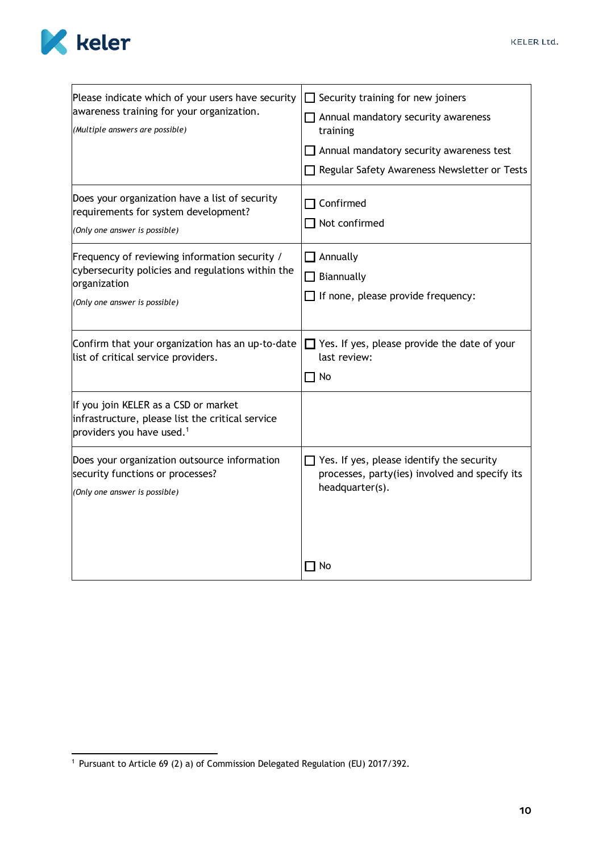

| Please indicate which of your users have security<br>awareness training for your organization.<br>(Multiple answers are possible)                   | $\Box$ Security training for new joiners<br>Annual mandatory security awareness<br>training<br>Annual mandatory security awareness test<br>Regular Safety Awareness Newsletter or Tests |
|-----------------------------------------------------------------------------------------------------------------------------------------------------|-----------------------------------------------------------------------------------------------------------------------------------------------------------------------------------------|
| Does your organization have a list of security<br>requirements for system development?<br>(Only one answer is possible)                             | Confirmed<br>$\Box$ Not confirmed                                                                                                                                                       |
| Frequency of reviewing information security /<br>cybersecurity policies and regulations within the<br>organization<br>(Only one answer is possible) | Annually<br>Biannually<br>If none, please provide frequency:                                                                                                                            |
| Confirm that your organization has an up-to-date<br>list of critical service providers.                                                             | Yes. If yes, please provide the date of your<br>last review:<br>No                                                                                                                      |
| If you join KELER as a CSD or market<br>infrastructure, please list the critical service<br>providers you have used. <sup>1</sup>                   |                                                                                                                                                                                         |
| Does your organization outsource information<br>security functions or processes?<br>(Only one answer is possible)                                   | Yes. If yes, please identify the security<br>processes, party(ies) involved and specify its<br>headquarter(s).                                                                          |
|                                                                                                                                                     | No                                                                                                                                                                                      |

<sup>1</sup> Pursuant to Article 69 (2) a) of Commission Delegated Regulation (EU) 2017/392.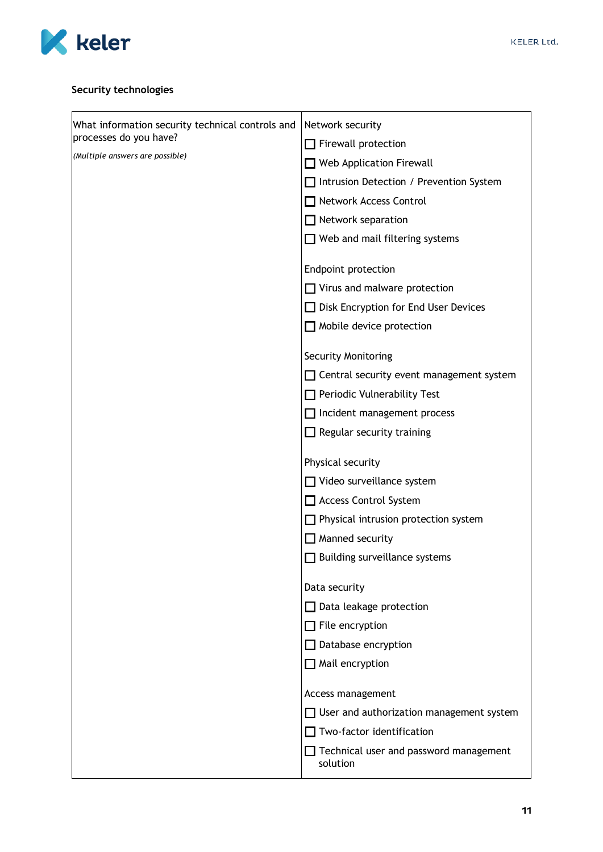

# **Security technologies**

| What information security technical controls and | Network security                                   |
|--------------------------------------------------|----------------------------------------------------|
| processes do you have?                           | Firewall protection                                |
| (Multiple answers are possible)                  | Web Application Firewall                           |
|                                                  | Intrusion Detection / Prevention System            |
|                                                  | Network Access Control                             |
|                                                  | $\Box$ Network separation                          |
|                                                  | $\Box$ Web and mail filtering systems              |
|                                                  | Endpoint protection                                |
|                                                  | $\Box$ Virus and malware protection                |
|                                                  | <b>Disk Encryption for End User Devices</b>        |
|                                                  | $\Box$ Mobile device protection                    |
|                                                  | <b>Security Monitoring</b>                         |
|                                                  | $\Box$ Central security event management system    |
|                                                  | $\Box$ Periodic Vulnerability Test                 |
|                                                  | Incident management process                        |
|                                                  | $\Box$ Regular security training                   |
|                                                  | Physical security                                  |
|                                                  | $\Box$ Video surveillance system                   |
|                                                  | Access Control System                              |
|                                                  | $\Box$ Physical intrusion protection system        |
|                                                  | Manned security                                    |
|                                                  | $\Box$ Building surveillance systems               |
|                                                  | Data security                                      |
|                                                  | Data leakage protection                            |
|                                                  | $\Box$ File encryption                             |
|                                                  | Database encryption                                |
|                                                  | $\Box$ Mail encryption                             |
|                                                  | Access management                                  |
|                                                  | $\Box$ User and authorization management system    |
|                                                  | Two-factor identification                          |
|                                                  | Technical user and password management<br>solution |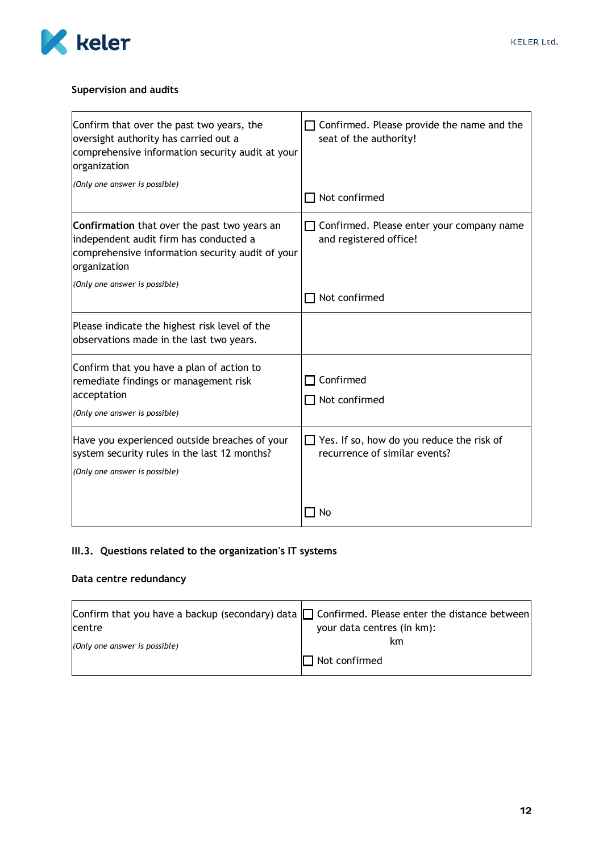

## **Supervision and audits**

| Confirm that over the past two years, the<br>oversight authority has carried out a<br>comprehensive information security audit at your<br>organization<br>(Only one answer is possible) | Confirmed. Please provide the name and the<br>seat of the authority!<br>Not confirmed |
|-----------------------------------------------------------------------------------------------------------------------------------------------------------------------------------------|---------------------------------------------------------------------------------------|
| Confirmation that over the past two years an<br>independent audit firm has conducted a<br>comprehensive information security audit of your<br>organization                              | Confirmed. Please enter your company name<br>and registered office!                   |
| (Only one answer is possible)                                                                                                                                                           | Not confirmed                                                                         |
| Please indicate the highest risk level of the<br>observations made in the last two years.                                                                                               |                                                                                       |
| Confirm that you have a plan of action to<br>remediate findings or management risk<br>acceptation<br>(Only one answer is possible)                                                      | Confirmed<br>Not confirmed                                                            |
| Have you experienced outside breaches of your<br>system security rules in the last 12 months?<br>(Only one answer is possible)                                                          | Yes. If so, how do you reduce the risk of<br>recurrence of similar events?            |
|                                                                                                                                                                                         | No                                                                                    |

# **III.3. Questions related to the organization's IT systems**

# **Data centre redundancy**

| Confirm that you have a backup (secondary) data $\Box$ Confirmed. Please enter the distance between |                            |
|-----------------------------------------------------------------------------------------------------|----------------------------|
| <b>centre</b>                                                                                       | your data centres (in km): |
| (Only one answer is possible)                                                                       | km                         |
|                                                                                                     | $\Box$ Not confirmed       |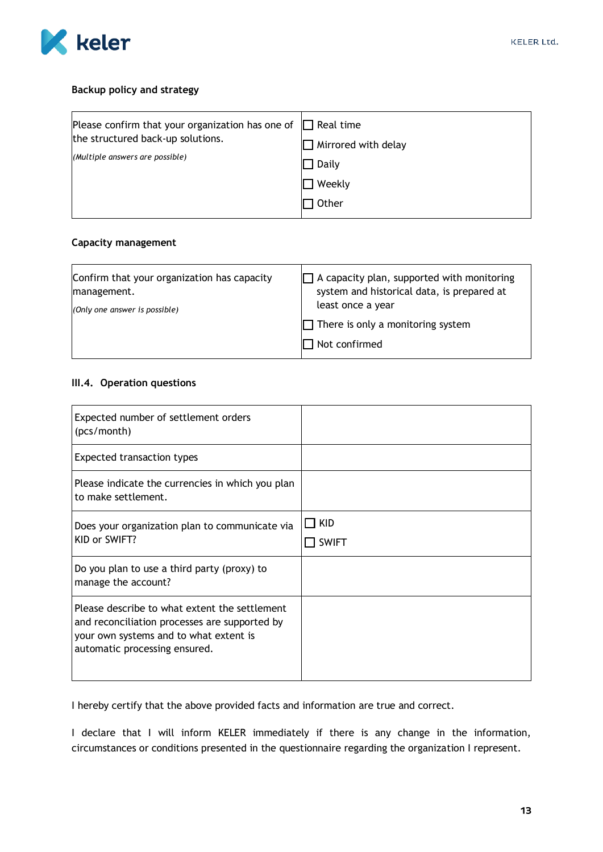

#### **Backup policy and strategy**

| Please confirm that your organization has one of | $\Box$ Real time    |
|--------------------------------------------------|---------------------|
| the structured back-up solutions.                | Mirrored with delay |
| (Multiple answers are possible)                  | Daily               |
|                                                  | $\sqsupset$ Weekly  |
|                                                  | Other               |

#### **Capacity management**

| Confirm that your organization has capacity | $\Box$ A capacity plan, supported with monitoring         |
|---------------------------------------------|-----------------------------------------------------------|
| management.                                 | system and historical data, is prepared at                |
| (Only one answer is possible)               | least once a year                                         |
|                                             | $\Box$ There is only a monitoring system<br>Not confirmed |

#### **III.4. Operation questions**

| Expected number of settlement orders<br>(pcs/month)                                                                                                                       |                     |
|---------------------------------------------------------------------------------------------------------------------------------------------------------------------------|---------------------|
| <b>Expected transaction types</b>                                                                                                                                         |                     |
| Please indicate the currencies in which you plan<br>to make settlement.                                                                                                   |                     |
| Does your organization plan to communicate via<br>KID or SWIFT?                                                                                                           | KID<br><b>SWIFT</b> |
| Do you plan to use a third party (proxy) to<br>manage the account?                                                                                                        |                     |
| Please describe to what extent the settlement<br>and reconciliation processes are supported by<br>your own systems and to what extent is<br>automatic processing ensured. |                     |

I hereby certify that the above provided facts and information are true and correct.

I declare that I will inform KELER immediately if there is any change in the information, circumstances or conditions presented in the questionnaire regarding the organization I represent.